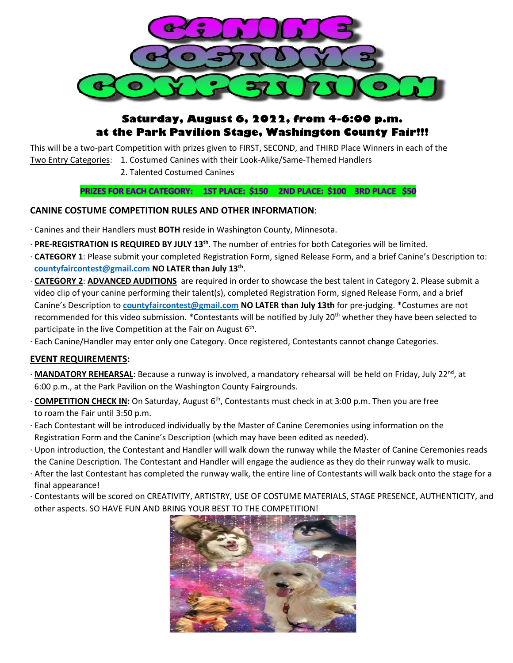

## **Saturday, August 6, 2022, from 4-6:00 p.m. at the Park Pavilion Stage, Washington County Fair!!!**

This will be a two-part Competition with prizes given to FIRST, SECOND, and THIRD Place Winners in each of the

Two Entry Categories: 1. Costumed Canines with their Look-Alike/Same-Themed Handlers

2. Talented Costumed Canines

### PRIZES FOR EACH CATEGORY: 1ST PLACE: \$150 2ND PLACE: \$100 3RD PLACE \$50

### **CANINE COSTUME COMPETITION RULES AND OTHER INFORMATION**:

- · Canines and their Handlers must **BOTH** reside in Washington County, Minnesota.
- · **PRE-REGISTRATION IS REQUIRED BY JULY 13th**. The number of entries for both Categories will be limited.
- · **CATEGORY 1**: Please submit your completed Registration Form, signed Release Form, and a brief Canine's Description to: **[countyfaircontest@gmail.com](mailto:countyfaircontest@gmail.com) NO LATER than July 13th**.
- · **CATEGORY 2**: **ADVANCED AUDITIONS** are required in order to showcase the best talent in Category 2. Please submit a video clip of your canine performing their talent(s), completed Registration Form, signed Release Form, and a brief Canine's Description to **[countyfaircontest@gmail.com](mailto:countyfaircontest@gmail.com) NO LATER than July 13th** for pre-judging. \*Costumes are not recommended for this video submission. \*Contestants will be notified by July 20<sup>th</sup> whether they have been selected to participate in the live Competition at the Fair on August  $6<sup>th</sup>$ .
- · Each Canine/Handler may enter only one Category. Once registered, Contestants cannot change Categories.

### **EVENT REQUIREMENTS:**

- · **MANDATORY REHEARSAL**: Because a runway is involved, a mandatory rehearsal will be held on Friday, July 22<sup>nd</sup>, at 6:00 p.m., at the Park Pavilion on the Washington County Fairgrounds.
- · **COMPETITION CHECK IN:** On Saturday, August 6th, Contestants must check in at 3:00 p.m. Then you are free to roam the Fair until 3:50 p.m.
- · Each Contestant will be introduced individually by the Master of Canine Ceremonies using information on the Registration Form and the Canine's Description (which may have been edited as needed).
- · Upon introduction, the Contestant and Handler will walk down the runway while the Master of Canine Ceremonies reads the Canine Description. The Contestant and Handler will engage the audience as they do their runway walk to music.
- · After the last Contestant has completed the runway walk, the entire line of Contestants will walk back onto the stage for a final appearance!
- · Contestants will be scored on CREATIVITY, ARTISTRY, USE OF COSTUME MATERIALS, STAGE PRESENCE, AUTHENTICITY, and other aspects. SO HAVE FUN AND BRING YOUR BEST TO THE COMPETITION!

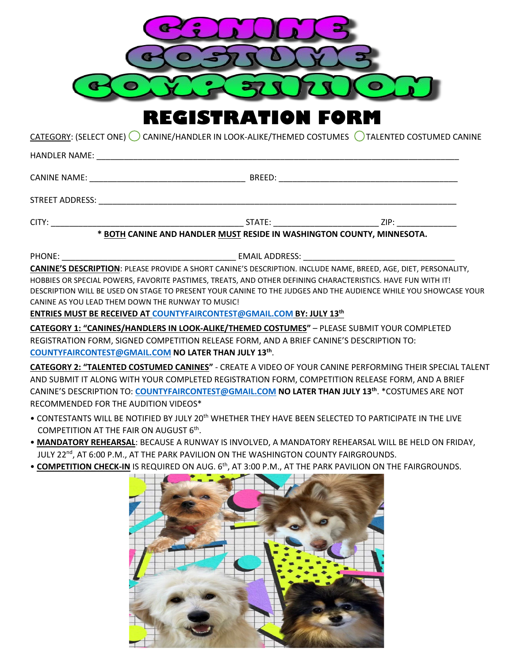

**REGISTRATION FORM**

CATEGORY: (SELECT ONE) CANINE/HANDLER IN LOOK-ALIKE/THEMED COSTUMES CALENTED COSTUMED CANINE

| * BOTH CANINE AND HANDLER MUST RESIDE IN WASHINGTON COUNTY, MINNESOTA.                                                                                                                  |  |  |
|-----------------------------------------------------------------------------------------------------------------------------------------------------------------------------------------|--|--|
|                                                                                                                                                                                         |  |  |
| CANINE'S DESCRIPTION: PLEASE PROVIDE A SHORT CANINE'S DESCRIPTION. INCLUDE NAME, BREED, AGE, DIET, PERSONALITY,                                                                         |  |  |
| HOBBIES OR SPECIAL POWERS, FAVORITE PASTIMES, TREATS, AND OTHER DEFINING CHARACTERISTICS. HAVE FUN WITH IT!                                                                             |  |  |
| DESCRIPTION WILL BE USED ON STAGE TO PRESENT YOUR CANINE TO THE JUDGES AND THE AUDIENCE WHILE YOU SHOWCASE YOUR                                                                         |  |  |
| CANINE AS YOU LEAD THEM DOWN THE RUNWAY TO MUSIC!                                                                                                                                       |  |  |
| ENTRIES MUST BE RECEIVED AT COUNTYFAIRCONTEST@GMAIL.COM BY: JULY 13th                                                                                                                   |  |  |
| CATEGORY 1: "CANINES/HANDLERS IN LOOK-ALIKE/THEMED COSTUMES" - PLEASE SUBMIT YOUR COMPLETED<br>REGISTRATION FORM, SIGNED COMPETITION RELEASE FORM, AND A BRIEF CANINE'S DESCRIPTION TO: |  |  |

**[COUNTYFAIRCONTEST@GMAIL.COM](mailto:COUNTYFAIRCONTEST@GMAIL.COM) NO LATER THAN JULY 13th**.

**CATEGORY 2: "TALENTED COSTUMED CANINES"** - CREATE A VIDEO OF YOUR CANINE PERFORMING THEIR SPECIAL TALENT AND SUBMIT IT ALONG WITH YOUR COMPLETED REGISTRATION FORM, COMPETITION RELEASE FORM, AND A BRIEF CANINE'S DESCRIPTION TO: **[COUNTYFAIRCONTEST@GMAIL.COM](mailto:COUNTYFAIRCONTEST@GMAIL.COM) NO LATER THAN JULY 13th**. \*COSTUMES ARE NOT RECOMMENDED FOR THE AUDITION VIDEOS\*

- CONTESTANTS WILL BE NOTIFIED BY JULY 20<sup>th</sup> WHETHER THEY HAVE BEEN SELECTED TO PARTICIPATE IN THE LIVE COMPETITION AT THE FAIR ON AUGUST 6<sup>th</sup>.
- **MANDATORY REHEARSAL**: BECAUSE A RUNWAY IS INVOLVED, A MANDATORY REHEARSAL WILL BE HELD ON FRIDAY, JULY 22<sup>nd</sup>, AT 6:00 P.M., AT THE PARK PAVILION ON THE WASHINGTON COUNTY FAIRGROUNDS.
- **COMPETITION CHECK-IN** IS REQUIRED ON AUG. 6th, AT 3:00 P.M., AT THE PARK PAVILION ON THE FAIRGROUNDS.